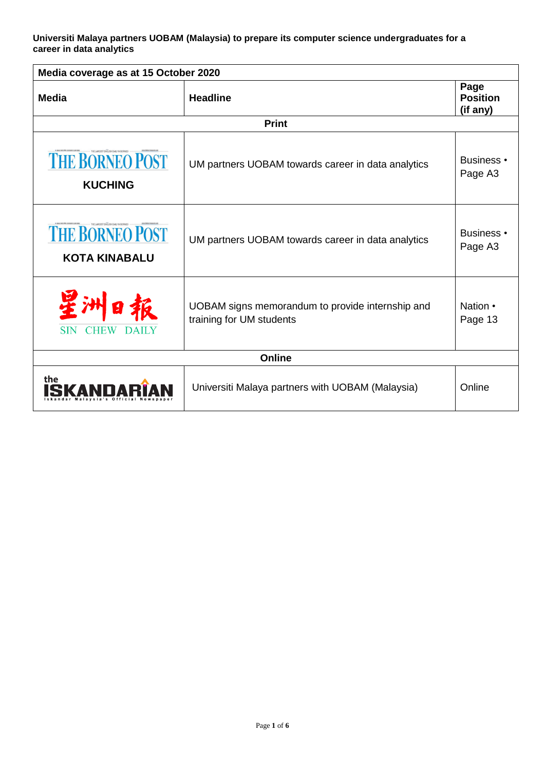**Universiti Malaya partners UOBAM (Malaysia) to prepare its computer science undergraduates for a career in data analytics**

| Media coverage as at 15 October 2020           |                                                                              |                                     |  |
|------------------------------------------------|------------------------------------------------------------------------------|-------------------------------------|--|
| <b>Media</b>                                   | <b>Headline</b>                                                              | Page<br><b>Position</b><br>(if any) |  |
| <b>Print</b>                                   |                                                                              |                                     |  |
| <b>THE BORNEO POST</b><br><b>KUCHING</b>       | UM partners UOBAM towards career in data analytics                           | Business •<br>Page A3               |  |
| <b>THE BORNEO POST</b><br><b>KOTA KINABALU</b> | UM partners UOBAM towards career in data analytics                           | <b>Business</b> •<br>Page A3        |  |
| <b>SIN</b><br><b>CHEW</b>                      | UOBAM signs memorandum to provide internship and<br>training for UM students | Nation •<br>Page 13                 |  |
| <b>Online</b>                                  |                                                                              |                                     |  |
| the                                            | Universiti Malaya partners with UOBAM (Malaysia)                             | Online                              |  |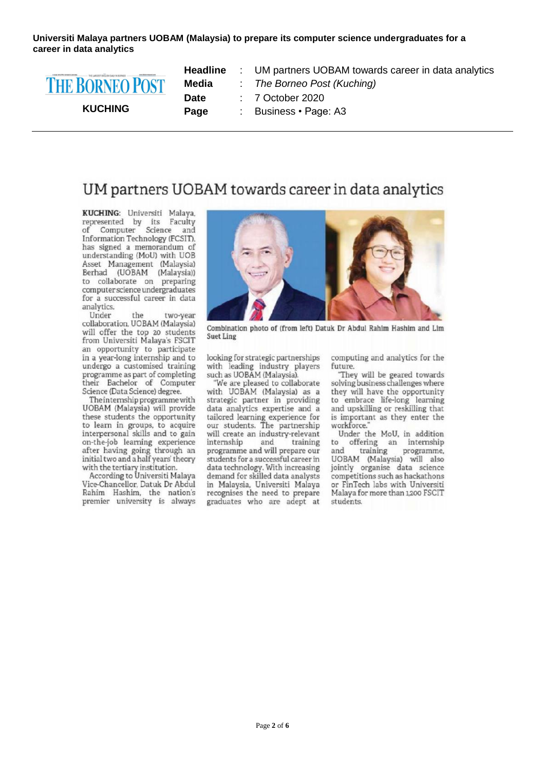Universiti Malaya partners UOBAM (Malaysia) to prepare its computer science undergraduates for a career in data analytics



## UM partners UOBAM towards career in data analytics

KUCHING: Universiti Malaya, represented by its Faculty<br>of Computer Science and Information Technology (FCSIT), has signed a memorandum of understanding (MoU) with UOB Asset Management (Malaysia) Berhad (UOBAM (Malaysia))<br>to collaborate on preparing computer science undergraduates for a successful career in data analytics.

Under the two-year collaboration, UOBAM (Malaysia) will offer the top 20 students<br>from Universiti Malaya's FSCIT an opportunity to participate in a year-long internship and to undergo a customised training programme as part of completing their Bachelor of Computer Science (Data Science) degree.

The internship programme with UOBAM (Malaysia) will provide these students the opportunity to learn in groups, to acquire interpersonal skills and to gain on-the-job learning experience<br>after having going through an initial two and a half years' theory with the tertiary institution.

According to Universiti Malaya Vice-Chancellor, Datuk Dr Abdul Rahim Hashim, the nation's premier university is always



Combination photo of (from left) Datuk Dr Abdul Rahim Hashim and Lim **Suet Ling** 

looking for strategic partnerships with leading industry players such as UOBAM (Malaysia).

'We are pleased to collaborate with UOBAM (Malaysia) as a strategic partner in providing data analytics expertise and a tailored learning experience for<br>our students. The partnership will create an industry-relevant internship and training programme and will prepare our students for a successful career in data technology. With increasing demand for skilled data analysts in Malaysia, Universiti Malaya recognises the need to prepare graduates who are adept at computing and analytics for the future.

They will be geared towards solving business challenges where they will have the opportunity to embrace life-long learning and upskilling or reskilling that is important as they enter the workforce."

Under the MoU, in addition to offering an internship and training programme, UOBAM (Malaysia) will also jointly organise data science competitions such as hackathons or FinTech labs with Universiti Malaya for more than 1,200 FSCIT students.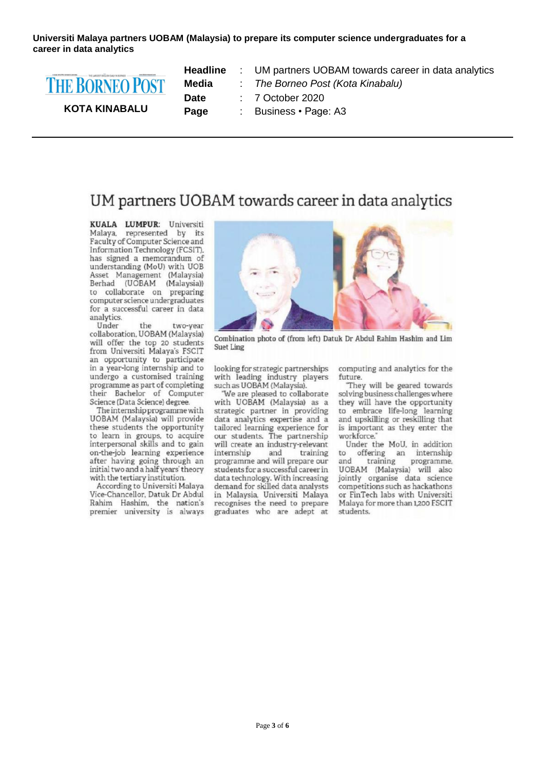**Universiti Malaya partners UOBAM (Malaysia) to prepare its computer science undergraduates for a career in data analytics**



**KOTA KINABALU**

**Headline** : UM partners UOBAM towards career in data analytics **Media** : *The Borneo Post (Kota Kinabalu)* **Date** : 7 October 2020 **Page** : Business • Page: A3

## UM partners UOBAM towards career in data analytics

**KUALA LUMPUR: Universiti** Malaya, represented by its<br>Faculty of Computer Science and Information Technology (FCSIT), has signed a memorandum of understanding (MoU) with UOB Asset Management (Malaysia) Berhad (UOBAM (Malaysia))<br>to collaborate on preparing computer science undergraduates for a successful career in data analytics.

Under the two-year collaboration, UOBAM (Malaysia) will offer the top 20 students from Universiti Malaya's FSCIT an opportunity to participate in a year-long internship and to undergo a customised training programme as part of completing their Bachelor of Computer Science (Data Science) degree.

The internship programme with UOBAM (Malaysia) will provide these students the opportunity to learn in groups, to acquire interpersonal skills and to gain on-the-job learning experience after having going through an initial two and a half years' theory with the tertiary institution.

According to Universiti Malaya Vice-Chancellor, Datuk Dr Abdul Rahim Hashim, the nation's premier university is always



Combination photo of (from left) Datuk Dr Abdul Rahim Hashim and Lim Suet Ling

looking for strategic partnerships with leading industry players<br>such as UOBAM (Malaysia).

"We are pleased to collaborate with UOBAM (Malaysia) as a strategic partner in providing data analytics expertise and a tailored learning experience for<br>our students. The partnership will create an industry-relevant internship and training programme and will prepare our students for a successful career in data technology. With increasing demand for skilled data analysts in Malaysia, Universiti Malaya recognises the need to prepare graduates who are adept at computing and analytics for the future.

They will be geared towards solving business challenges where they will have the opportunity to embrace life-long learning and upskilling or reskilling that is important as they enter the workforce."

Under the MoU, in addition  $t<sub>0</sub>$ offering an internship programme, training and UOBAM (Malaysia) will also jointly organise data science competitions such as hackathons or FinTech labs with Universiti Malaya for more than 1,200 FSCIT students.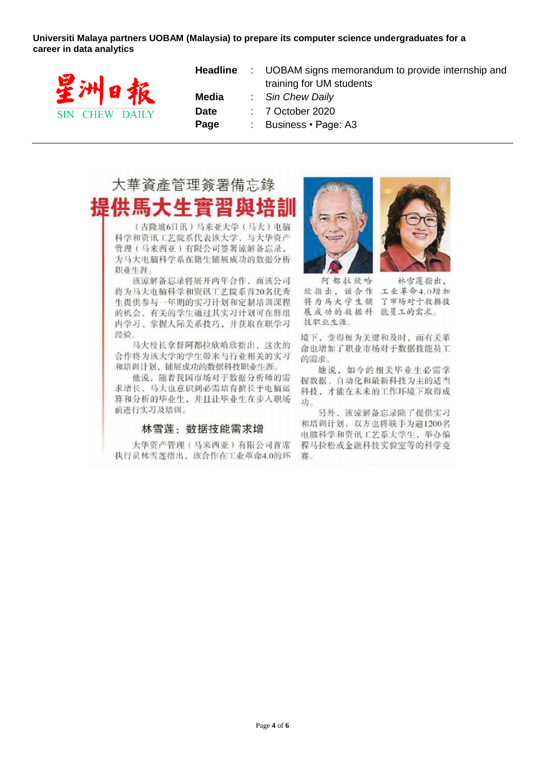Universiti Malaya partners UOBAM (Malaysia) to prepare its computer science undergraduates for a career in data analytics



|             | <b>Headline</b> : UOBAM signs memorandum to provide internship and |
|-------------|--------------------------------------------------------------------|
|             | training for UM students                                           |
| Media       | : Sin Chew Daily                                                   |
| <b>Date</b> | $: 7$ October 2020                                                 |
| Page        | : Business $\cdot$ Page: A3                                        |
|             |                                                                    |

# 大華資產管理簽署備忘錄 供馬大牛實習與

(吉隆坡6日讯)马来亚大学(马大)电脑 科学和资讯工艺院系代表该大学、与大华资产 管理(马来西亚)有限公司签署谅解备忘录, 为马大电脑科学系在籍生铺展成功的数据分析 职业生涯

该谅解备忘录将展开两年合作, 而该公司 将为马大电脑科学和资讯工艺院系首20名优秀 生提供参与一年期的实习计划和定制培训课程 的机会,有关的学生通过其实习计划可在群组 内学习、掌握人际关系技巧,并获取在职学习 经验。

马大校长拿督阿都拉欣哈欣指出,这次的 合作将为该大学的学生带来与行业相关的实习 和培训计划, 铺展成功的数据科技职业生涯。

他说, 随着我国市场对于数据分析师的需 求增长, 马大也意识到必需培育擅长于电脑运 算和分析的毕业生,并且让毕业生在步入职场 前进行实习及培训。

#### 林雪莲: 数据技能需求增

大华资产管理(马来西亚)有限公司首席 执行员林雪莲指出,该合作在工业革命4.0的环





阿都拉欣哈 林雪莲指出, 欣指出,该合作 工业革命4.0增加 将为马大学生铺 了市场对于数据技 展成功的数据科 能员工的需求。 技职业生涯。

境下, 变得极为关键和及时, 而有关革 命也增加了职业市场对于数据技能员工 的需求。

她说,如今的相关毕业生必需掌 握数据、自动化和最新科技为主的适当 科技,才能在未来的工作环境下取得成 功。

另外, 该谅解备忘录除了提供实习 和培训计划, 双方也将联手为逾1200名 电脑科学和资讯工艺系大学生, 举办编 程马拉松或金融科技实验室等的科学竞 赛。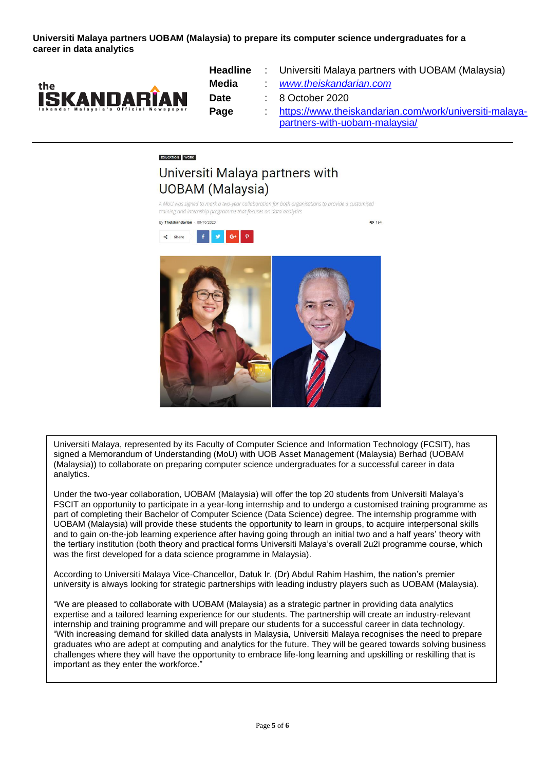**Universiti Malaya partners UOBAM (Malaysia) to prepare its computer science undergraduates for a career in data analytics**



**Headline** : Universiti Malaya partners with UOBAM (Malaysia)

**@** 164

**Media** : *[www.theiskandarian.com](http://www.theiskandarian.com/)*

**Date** : 8 October 2020

Page [https://www.theiskandarian.com/work/universiti-malaya](https://www.theiskandarian.com/work/universiti-malaya-partners-with-uobam-malaysia/)[partners-with-uobam-malaysia/](https://www.theiskandarian.com/work/universiti-malaya-partners-with-uobam-malaysia/)

## **EDUCATION** WORK

### Universiti Malaya partners with **UOBAM** (Malaysia)

A MoU was signed to mark a two-year collaboration for both organisations to provide a customised training and internship programme that focuses on data analytics







Universiti Malaya, represented by its Faculty of Computer Science and Information Technology (FCSIT), has signed a Memorandum of Understanding (MoU) with UOB Asset Management (Malaysia) Berhad (UOBAM (Malaysia)) to collaborate on preparing computer science undergraduates for a successful career in data analytics.

Under the two-year collaboration, UOBAM (Malaysia) will offer the top 20 students from Universiti Malaya's FSCIT an opportunity to participate in a year-long internship and to undergo a customised training programme as part of completing their Bachelor of Computer Science (Data Science) degree. The internship programme with UOBAM (Malaysia) will provide these students the opportunity to learn in groups, to acquire interpersonal skills and to gain on-the-job learning experience after having going through an initial two and a half years' theory with the tertiary institution (both theory and practical forms Universiti Malaya's overall 2u2i programme course, which was the first developed for a data science programme in Malaysia).

According to Universiti Malaya Vice-Chancellor, Datuk Ir. (Dr) Abdul Rahim Hashim, the nation's premier university is always looking for strategic partnerships with leading industry players such as UOBAM (Malaysia).

"We are pleased to collaborate with UOBAM (Malaysia) as a strategic partner in providing data analytics expertise and a tailored learning experience for our students. The partnership will create an industry-relevant internship and training programme and will prepare our students for a successful career in data technology. "With increasing demand for skilled data analysts in Malaysia, Universiti Malaya recognises the need to prepare graduates who are adept at computing and analytics for the future. They will be geared towards solving business challenges where they will have the opportunity to embrace life-long learning and upskilling or reskilling that is important as they enter the workforce."